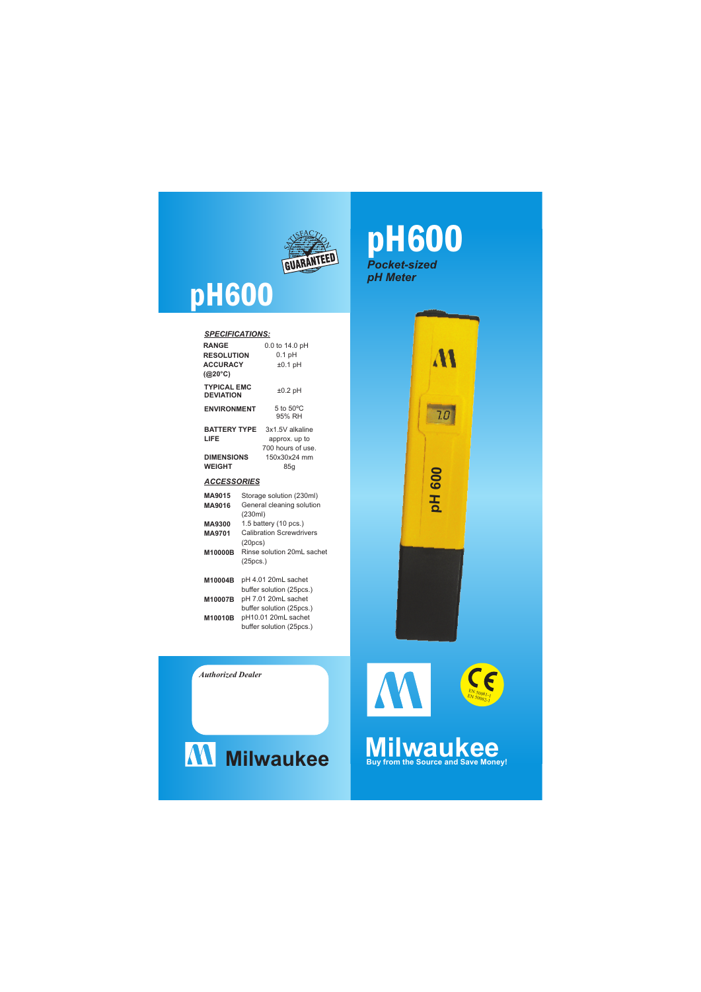